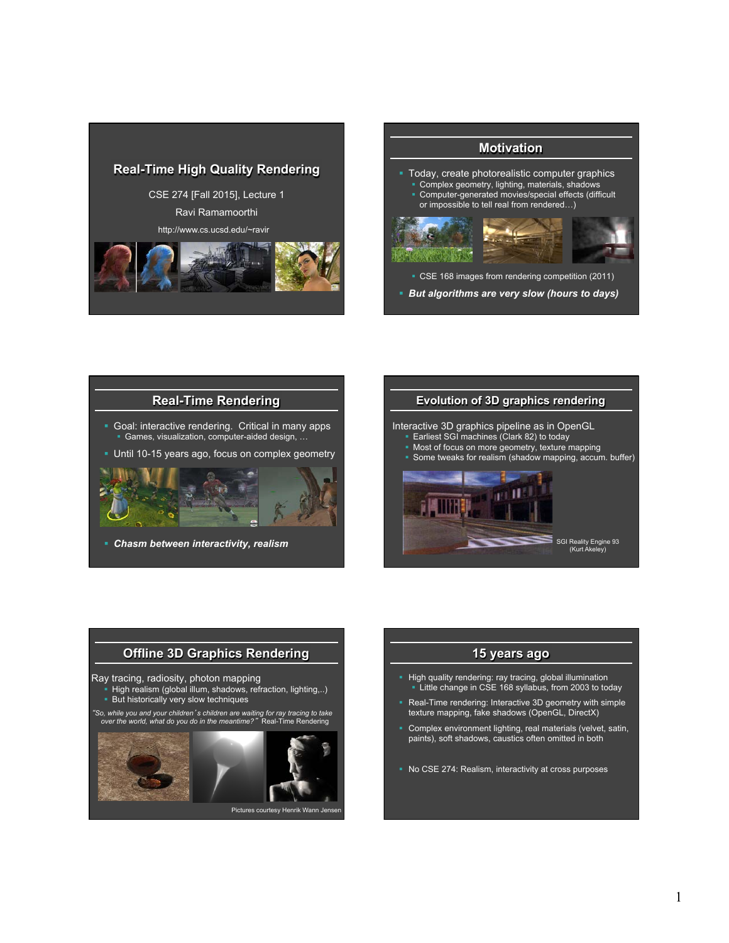

## **Motivation**

- § Today, create photorealistic computer graphics • Complex geometry, lighting, materials, shadows
- § Computer-generated movies/special effects (difficult or impossible to tell real from rendered…)



■ CSE 168 images from rendering competition (2011)

§ *But algorithms are very slow (hours to days)* 



§ *Chasm between interactivity, realism* 

#### **Evolution of 3D graphics rendering**

Interactive 3D graphics pipeline as in OpenGL

- § Earliest SGI machines (Clark 82) to today
- Most of focus on more geometry, texture mapping
- § Some tweaks for realism (shadow mapping, accum. buffer)



# **Offline 3D Graphics Rendering**

Ray tracing, radiosity, photon mapping

- High realism (global illum, shadows, refraction, lighting,..) **But historically very slow techniques**
- 

"*So, while you and your children*'*s children are waiting for ray tracing to take over the world, what do you do in the meantime?*" Real-Time Rendering



## **15 years ago**

- High quality rendering: ray tracing, global illumination § Little change in CSE 168 syllabus, from 2003 to today
- Real-Time rendering: Interactive 3D geometry with simple texture mapping, fake shadows (OpenGL, DirectX)
- § Complex environment lighting, real materials (velvet, satin, paints), soft shadows, caustics often omitted in both
- § No CSE 274: Realism, interactivity at cross purposes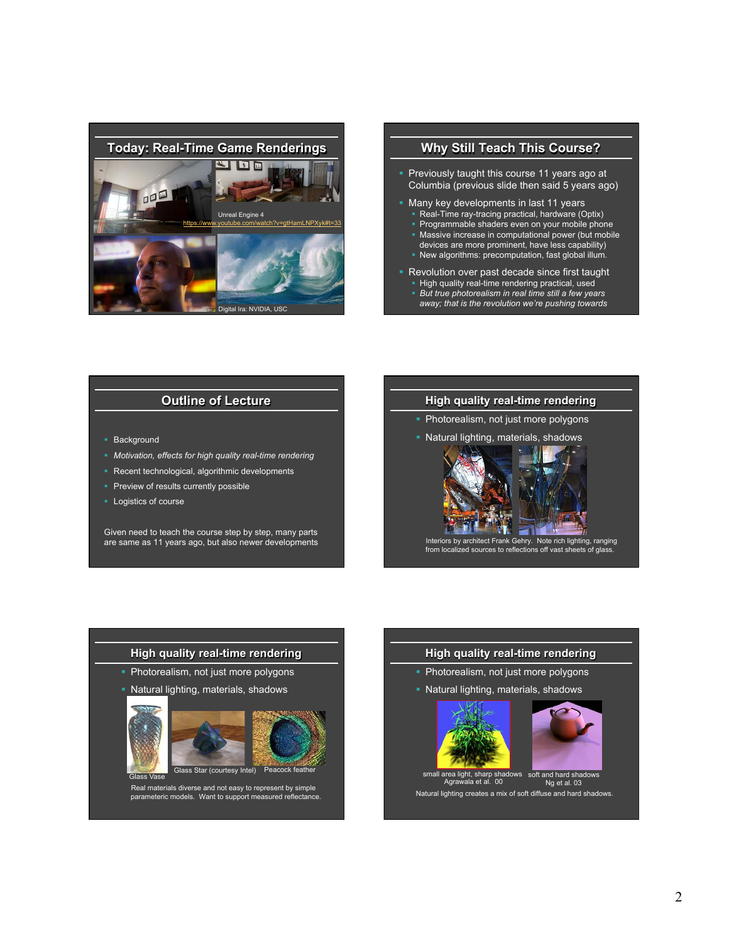

#### **Why Still Teach This Course?**

- Previously taught this course 11 years ago at Columbia (previous slide then said 5 years ago)
- § Many key developments in last 11 years • Real-Time ray-tracing practical, hardware (Optix)
	- Programmable shaders even on your mobile phone
	- Massive increase in computational power (but mobile devices are more prominent, have less capability)
	- New algorithms: precomputation, fast global illum.
- Revolution over past decade since first taught • High quality real-time rendering practical, used § *But true photorealism in real time still a few years away; that is the revolution we're pushing towards*

### **Outline of Lecture**

- Background
- § *Motivation, effects for high quality real-time rendering*
- Recent technological, algorithmic developments
- **Preview of results currently possible**
- § Logistics of course

Given need to teach the course step by step, many parts are same as 11 years ago, but also newer developments

#### **High quality real-time rendering**

- § Photorealism, not just more polygons
- § Natural lighting, materials, shadows





Interiors by architect Frank Gehry. Note rich lighting, ranging from localized sources to reflections off vast sheets of glass.

#### **High quality real-time rendering**

- § Photorealism, not just more polygons
- § Natural lighting, materials, shadows





# Real materials diverse and not easy to represent by simple parameteric models. Want to support measured reflectance.

#### **High quality real-time rendering**

- Photorealism, not just more polygons
- § Natural lighting, materials, shadows





small area light, sharp shadows soft and hard shadows<br>Agrawala et al. 00 Ng et al. 03

Natural lighting creates a mix of soft diffuse and hard shadows. Ng et al. 03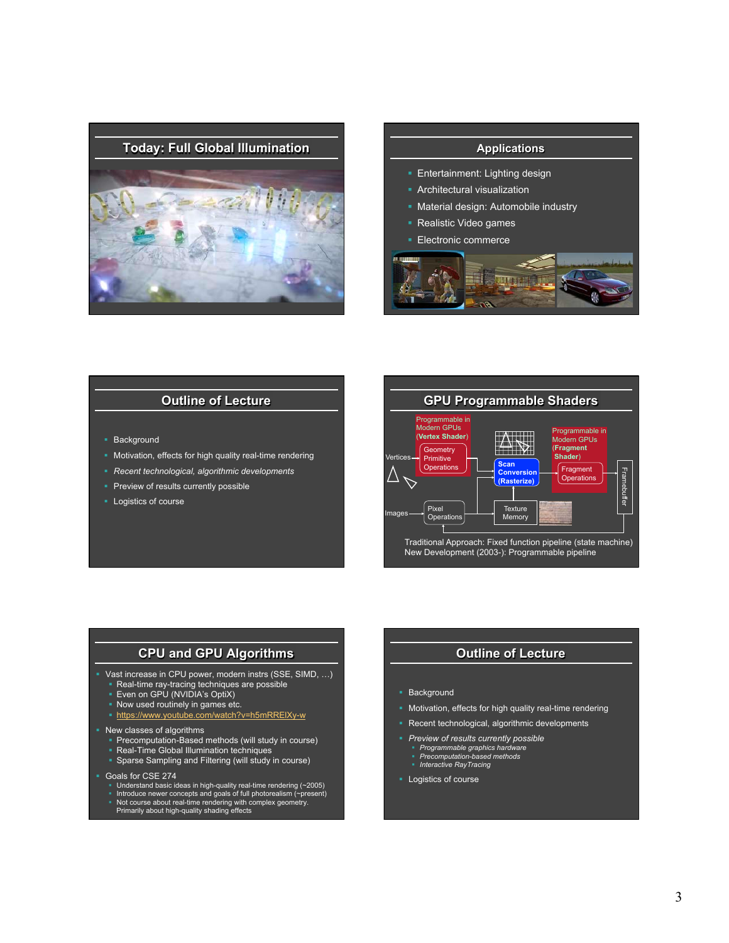

- **Entertainment: Lighting design**
- **Architectural visualization**
- **Material design: Automobile industry**
- § Realistic Video games
- § Electronic commerce



#### **Outline of Lecture**

- Background
- Motivation, effects for high quality real-time rendering
- § *Recent technological, algorithmic developments*
- **Preview of results currently possible**
- § Logistics of course



#### **CPU and GPU Algorithms**

- § Vast increase in CPU power, modern instrs (SSE, SIMD, …)
	- § Real-time ray-tracing techniques are possible
	- **Even on GPU (NVIDIA's OptiX)**
	- § Now used routinely in games etc.
	- § https://www.youtube.com/watch?v=h5mRRElXy-w
- New classes of algorithms
	- § Precomputation-Based methods (will study in course)
	- § Real-Time Global Illumination techniques
	- § Sparse Sampling and Filtering (will study in course)
- § Goals for CSE 274
	- Understand basic ideas in high-quality real-time rendering (~2005)
	- Introduce newer concepts and goals of full photorealism (∼present)<br>■ Not course about real-time rendering with complex geometry.
	- Primarily about high-quality shading effects

#### **Outline of Lecture**

- § Background
- § Motivation, effects for high quality real-time rendering
- Recent technological, algorithmic developments
- § *Preview of results currently possible*
- 
- § *Programmable graphics hardware*  § *Precomputation-based methods*  § *Interactive RayTracing*
- 
- § Logistics of course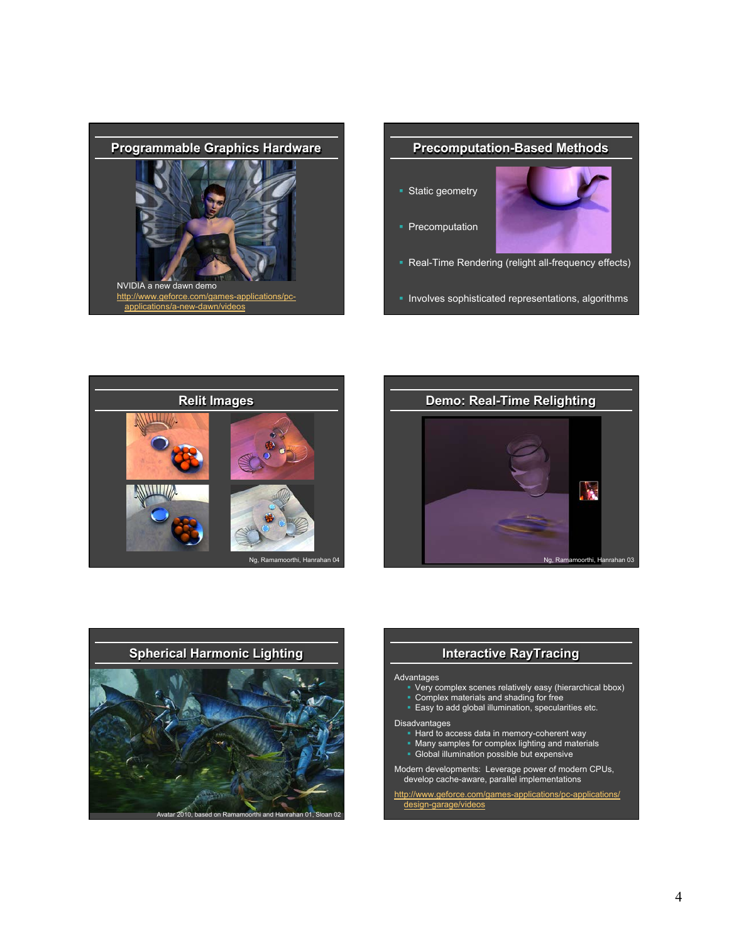



§ Involves sophisticated representations, algorithms







## **Interactive RayTracing**

#### Advantages

- Very complex scenes relatively easy (hierarchical bbox)
- § Complex materials and shading for free
- **Easy to add global illumination, specularities etc.**

#### Disadvantages

- Hard to access data in memory-coherent way
- Many samples for complex lighting and materials
- § Global illumination possible but expensive

Modern developments: Leverage power of modern CPUs, develop cache-aware, parallel implementations

http://www.geforce.com/games-applications/pc-applications/ design-garage/videos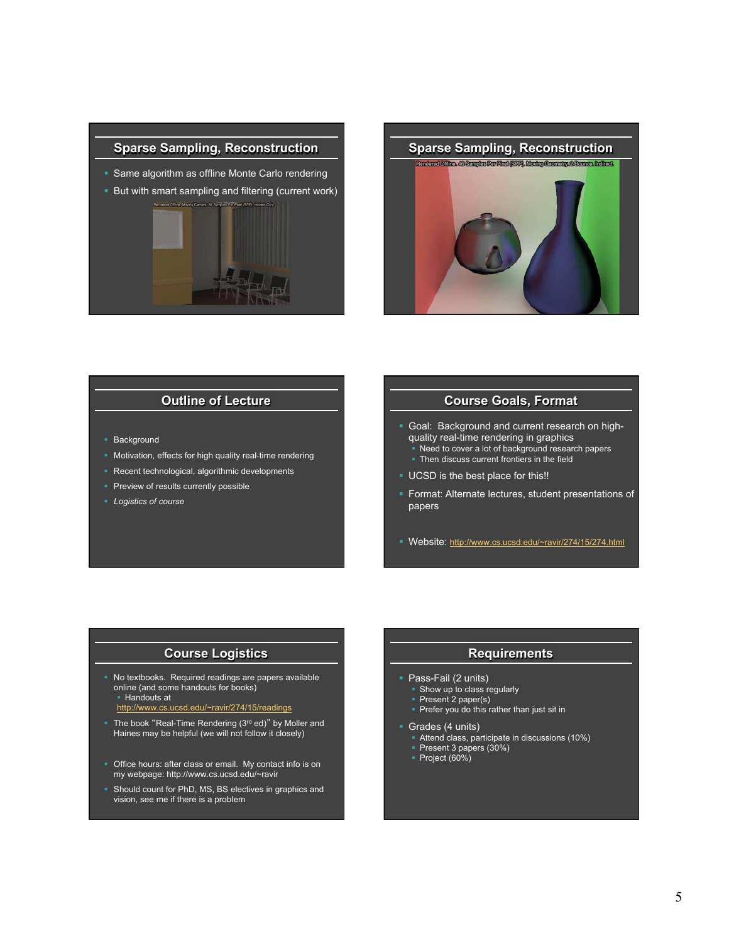



## **Outline of Lecture**

- Background
- Motivation, effects for high quality real-time rendering
- Recent technological, algorithmic developments
- **Preview of results currently possible**
- § *Logistics of course*

#### **Course Goals, Format**

- § Goal: Background and current research on highquality real-time rendering in graphics Need to cover a lot of background research papers
	- Then discuss current frontiers in the field
- § UCSD is the best place for this!!
- § Format: Alternate lectures, student presentations of papers
- § Website: http://www.cs.ucsd.edu/~ravir/274/15/274.html

#### **Course Logistics**

- § No textbooks. Required readings are papers available online (and some handouts for books) § Handouts at
	- http://www.cs.ucsd.edu/~ravir/274/15/readings
- The book "Real-Time Rendering (3rd ed)" by Moller and Haines may be helpful (we will not follow it closely)
- Office hours: after class or email. My contact info is on my webpage: http://www.cs.ucsd.edu/~ravir
- **Should count for PhD, MS, BS electives in graphics and** vision, see me if there is a problem

## **Requirements**

- § Pass-Fail (2 units)
- Show up to class regularly
- Present 2 paper(s)
- **Prefer you do this rather than just sit in**
- Grades (4 units)
- § Attend class, participate in discussions (10%)
- § Present 3 papers (30%)
- § Project (60%)